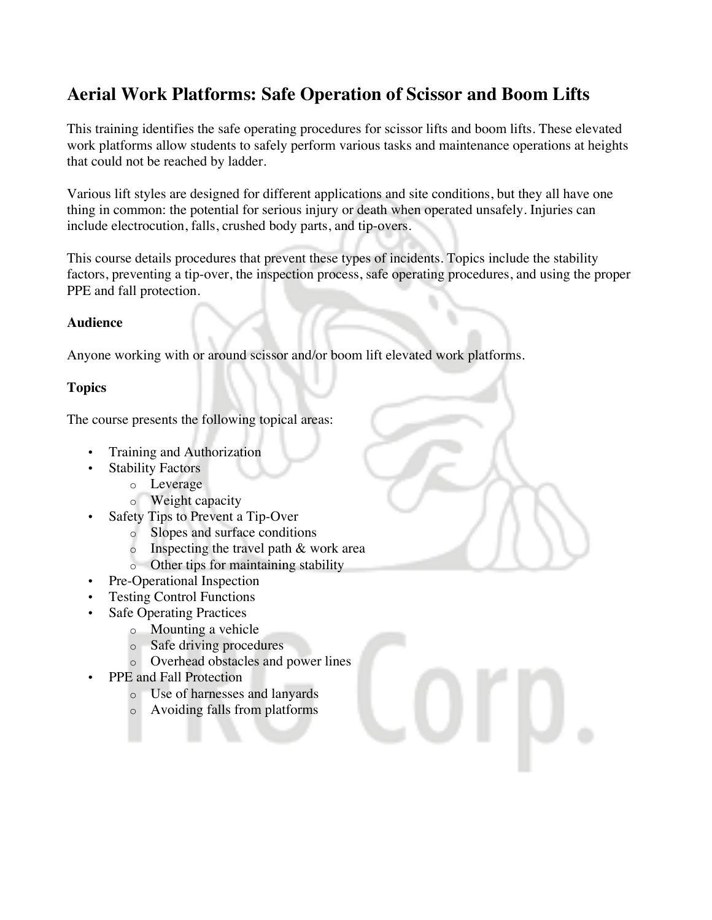# **Aerial Work Platforms: Safe Operation of Scissor and Boom Lifts**

This training identifies the safe operating procedures for scissor lifts and boom lifts. These elevated work platforms allow students to safely perform various tasks and maintenance operations at heights that could not be reached by ladder.

Various lift styles are designed for different applications and site conditions, but they all have one thing in common: the potential for serious injury or death when operated unsafely. Injuries can include electrocution, falls, crushed body parts, and tip-overs.

This course details procedures that prevent these types of incidents. Topics include the stability factors, preventing a tip-over, the inspection process, safe operating procedures, and using the proper PPE and fall protection.

#### **Audience**

Anyone working with or around scissor and/or boom lift elevated work platforms.

## **Topics**

The course presents the following topical areas:

- Training and Authorization
	- **Stability Factors** 
		- o Leverage
			- o Weight capacity
- Safety Tips to Prevent a Tip-Over
	- o Slopes and surface conditions
	- $\circ$  Inspecting the travel path & work area
	- o Other tips for maintaining stability
- Pre-Operational Inspection
- Testing Control Functions
- **Safe Operating Practices** 
	- o Mounting a vehicle
	- o Safe driving procedures
	- o Overhead obstacles and power lines
- PPE and Fall Protection
	- o Use of harnesses and lanyards
	- o Avoiding falls from platforms